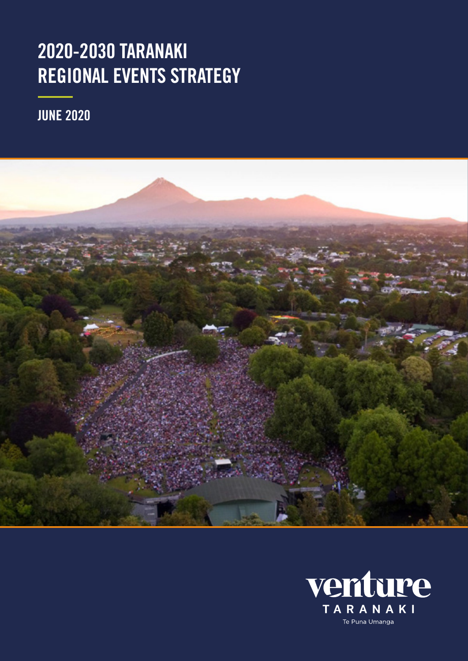# **2020-2030 TARANAKI REGIONAL EVENTS STRATEGY**

**JUNE 2020**



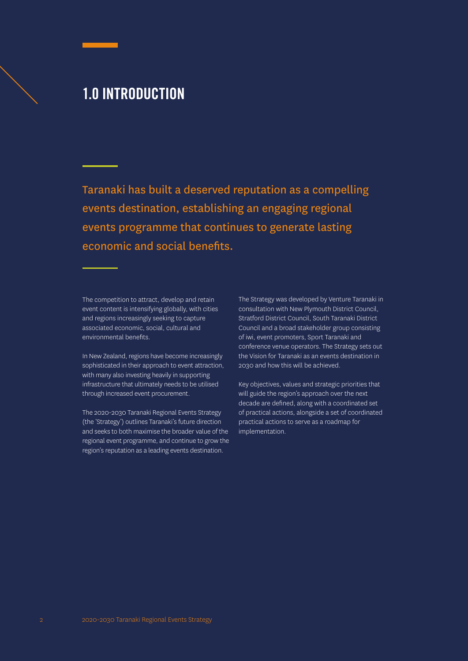## 1.0 INTRODUCTION

Taranaki has built a deserved reputation as a compelling events destination, establishing an engaging regional events programme that continues to generate lasting economic and social benefits.

The competition to attract, develop and retain event content is intensifying globally, with cities and regions increasingly seeking to capture associated economic, social, cultural and environmental benefits.

In New Zealand, regions have become increasingly sophisticated in their approach to event attraction, with many also investing heavily in supporting infrastructure that ultimately needs to be utilised through increased event procurement.

The 2020-2030 Taranaki Regional Events Strategy (the 'Strategy') outlines Taranaki's future direction and seeks to both maximise the broader value of the regional event programme, and continue to grow the region's reputation as a leading events destination.

The Strategy was developed by Venture Taranaki in consultation with New Plymouth District Council, Stratford District Council, South Taranaki District Council and a broad stakeholder group consisting of iwi, event promoters, Sport Taranaki and conference venue operators. The Strategy sets out the Vision for Taranaki as an events destination in 2030 and how this will be achieved.

Key objectives, values and strategic priorities that will guide the region's approach over the next decade are defined, along with a coordinated set of practical actions, alongside a set of coordinated practical actions to serve as a roadmap for implementation.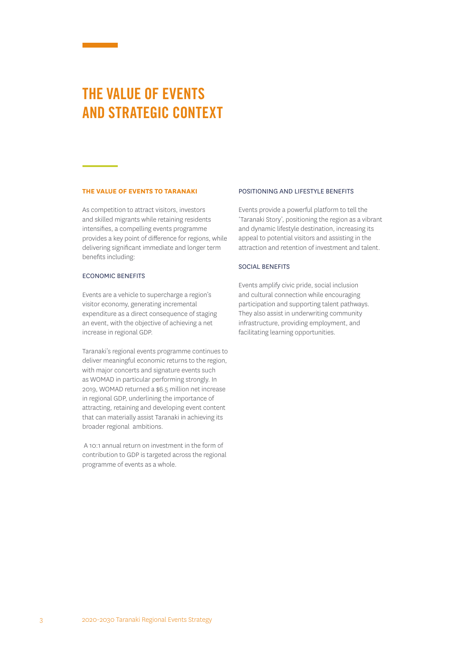## THE VALUE OF EVENTS AND STRATEGIC CONTEXT

#### **THE VALUE OF EVENTS TO TARANAKI**

As competition to attract visitors, investors and skilled migrants while retaining residents intensifies, a compelling events programme provides a key point of difference for regions, while delivering significant immediate and longer term benefits including:

#### ECONOMIC BENEFITS

Events are a vehicle to supercharge a region's visitor economy, generating incremental expenditure as a direct consequence of staging an event, with the objective of achieving a net increase in regional GDP.

Taranaki's regional events programme continues to deliver meaningful economic returns to the region, with major concerts and signature events such as WOMAD in particular performing strongly. In 2019, WOMAD returned a \$6.5 million net increase in regional GDP, underlining the importance of attracting, retaining and developing event content that can materially assist Taranaki in achieving its broader regional ambitions.

 A 10:1 annual return on investment in the form of contribution to GDP is targeted across the regional programme of events as a whole.

#### POSITIONING AND LIFESTYLE BENEFITS

Events provide a powerful platform to tell the 'Taranaki Story', positioning the region as a vibrant and dynamic lifestyle destination, increasing its appeal to potential visitors and assisting in the attraction and retention of investment and talent.

#### SOCIAL BENEFITS

Events amplify civic pride, social inclusion and cultural connection while encouraging participation and supporting talent pathways. They also assist in underwriting community infrastructure, providing employment, and facilitating learning opportunities.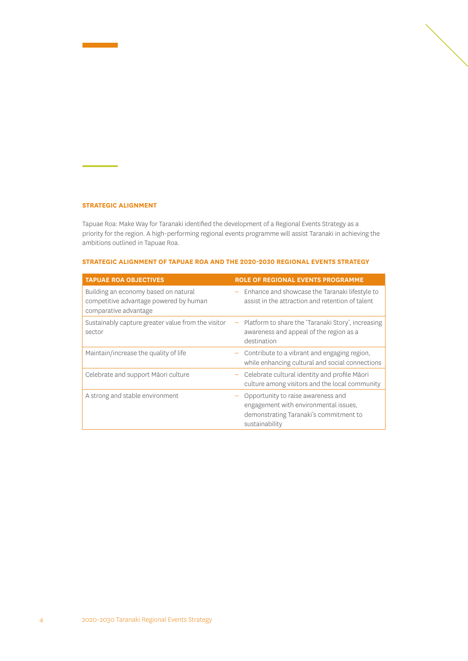#### **STRATEGIC ALIGNMENT**

Tapuae Roa: Make Way for Taranaki identified the development of a Regional Events Strategy as a priority for the region. A high-performing regional events programme will assist Taranaki in achieving the ambitions outlined in Tapuae Roa.

| <b>TAPUAE ROA OBJECTIVES</b>                                                                            | <b>ROLE OF REGIONAL EVENTS PROGRAMME</b>                                                                                                |
|---------------------------------------------------------------------------------------------------------|-----------------------------------------------------------------------------------------------------------------------------------------|
| Building an economy based on natural<br>competitive advantage powered by human<br>comparative advantage | $-$ Enhance and showcase the Taranaki lifestyle to<br>assist in the attraction and retention of talent                                  |
| Sustainably capture greater value from the visitor<br>sector                                            | Platform to share the 'Taranaki Story', increasing<br>awareness and appeal of the region as a<br>destination                            |
| Maintain/increase the quality of life                                                                   | Contribute to a vibrant and engaging region,<br>while enhancing cultural and social connections                                         |
| Celebrate and support Māori culture                                                                     | - Celebrate cultural identity and profile Māori<br>culture among visitors and the local community                                       |
| A strong and stable environment                                                                         | Opportunity to raise awareness and<br>engagement with environmental issues,<br>demonstrating Taranaki's commitment to<br>sustainability |

#### **STRATEGIC ALIGNMENT OF TAPUAE ROA AND THE 2020-2030 REGIONAL EVENTS STRATEGY**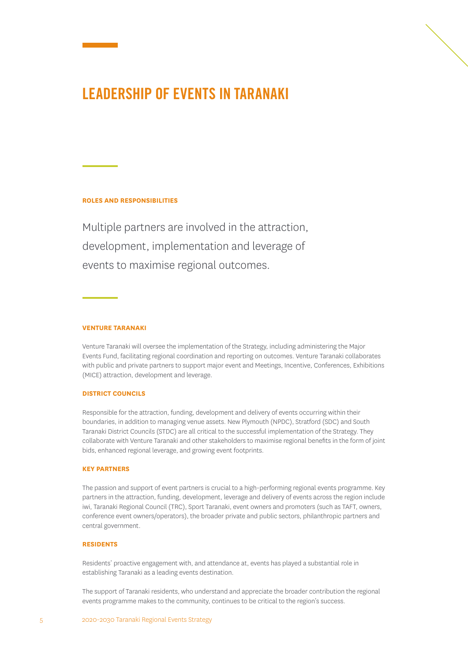### LEADERSHIP OF EVENTS IN TARANAKI

#### **ROLES AND RESPONSIBILITIES**

Multiple partners are involved in the attraction, development, implementation and leverage of events to maximise regional outcomes.

#### **VENTURE TARANAKI**

Venture Taranaki will oversee the implementation of the Strategy, including administering the Major Events Fund, facilitating regional coordination and reporting on outcomes. Venture Taranaki collaborates with public and private partners to support major event and Meetings, Incentive, Conferences, Exhibitions (MICE) attraction, development and leverage.

#### **DISTRICT COUNCILS**

Responsible for the attraction, funding, development and delivery of events occurring within their boundaries, in addition to managing venue assets. New Plymouth (NPDC), Stratford (SDC) and South Taranaki District Councils (STDC) are all critical to the successful implementation of the Strategy. They collaborate with Venture Taranaki and other stakeholders to maximise regional benefits in the form of joint bids, enhanced regional leverage, and growing event footprints.

#### **KEY PARTNERS**

The passion and support of event partners is crucial to a high-performing regional events programme. Key partners in the attraction, funding, development, leverage and delivery of events across the region include iwi, Taranaki Regional Council (TRC), Sport Taranaki, event owners and promoters (such as TAFT, owners, conference event owners/operators), the broader private and public sectors, philanthropic partners and central government.

#### **RESIDENTS**

Residents' proactive engagement with, and attendance at, events has played a substantial role in establishing Taranaki as a leading events destination.

The support of Taranaki residents, who understand and appreciate the broader contribution the regional events programme makes to the community, continues to be critical to the region's success.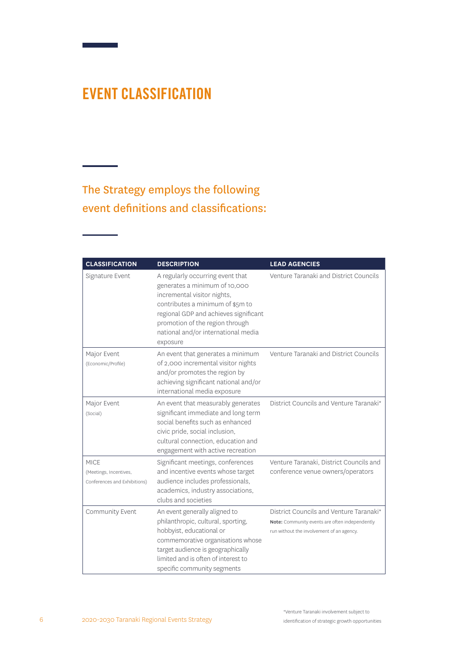## EVENT CLASSIFICATION

The Strategy employs the following event definitions and classifications:

| <b>CLASSIFICATION</b>                                                 | <b>DESCRIPTION</b>                                                                                                                                                                                                                                                  | <b>LEAD AGENCIES</b>                                                                                                                   |
|-----------------------------------------------------------------------|---------------------------------------------------------------------------------------------------------------------------------------------------------------------------------------------------------------------------------------------------------------------|----------------------------------------------------------------------------------------------------------------------------------------|
| Signature Event                                                       | A regularly occurring event that<br>generates a minimum of 10,000<br>incremental visitor nights,<br>contributes a minimum of \$5m to<br>regional GDP and achieves significant<br>promotion of the region through<br>national and/or international media<br>exposure | Venture Taranaki and District Councils                                                                                                 |
| Major Event<br>(Economic/Profile)                                     | An event that generates a minimum<br>of 2,000 incremental visitor nights<br>and/or promotes the region by<br>achieving significant national and/or<br>international media exposure                                                                                  | Venture Taranaki and District Councils                                                                                                 |
| Major Event<br>(Social)                                               | An event that measurably generates<br>significant immediate and long term<br>social benefits such as enhanced<br>civic pride, social inclusion,<br>cultural connection, education and<br>engagement with active recreation                                          | District Councils and Venture Taranaki*                                                                                                |
| <b>MICE</b><br>(Meetings, Incentives,<br>Conferences and Exhibitions) | Significant meetings, conferences<br>and incentive events whose target<br>audience includes professionals,<br>academics, industry associations,<br>clubs and societies                                                                                              | Venture Taranaki, District Councils and<br>conference venue owners/operators                                                           |
| Community Event                                                       | An event generally aligned to<br>philanthropic, cultural, sporting,<br>hobbyist, educational or<br>commemorative organisations whose<br>target audience is geographically<br>limited and is often of interest to<br>specific community segments                     | District Councils and Venture Taranaki*<br>Note: Community events are often independently<br>run without the involvement of an agency. |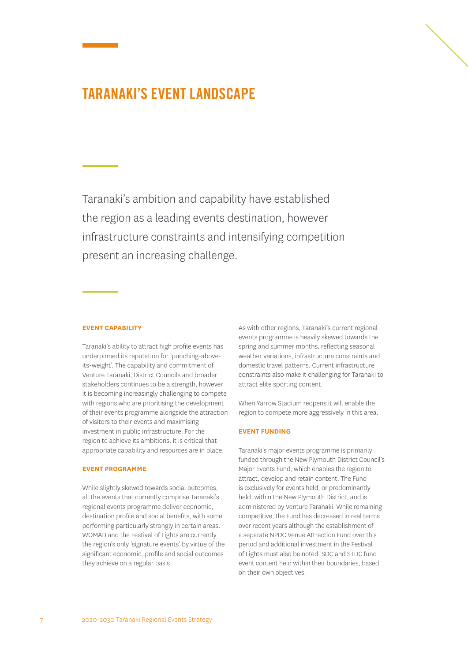### TARANAKI'S EVENT LANDSCAPE

Taranaki's ambition and capability have established the region as a leading events destination, however infrastructure constraints and intensifying competition present an increasing challenge.

#### **EVENT CAPABILITY**

Taranaki's ability to attract high profile events has underpinned its reputation for 'punching-aboveits-weight'. The capability and commitment of Venture Taranaki, District Councils and broader stakeholders continues to be a strength, however it is becoming increasingly challenging to compete with regions who are prioritising the development of their events programme alongside the attraction of visitors to their events and maximising investment in public infrastructure. For the region to achieve its ambitions, it is critical that appropriate capability and resources are in place.

#### **EVENT PROGRAMME**

While slightly skewed towards social outcomes, all the events that currently comprise Taranaki's regional events programme deliver economic, destination profile and social benefits, with some performing particularly strongly in certain areas. WOMAD and the Festival of Lights are currently the region's only 'signature events' by virtue of the significant economic, profile and social outcomes they achieve on a regular basis.

As with other regions, Taranaki's current regional events programme is heavily skewed towards the spring and summer months, reflecting seasonal weather variations, infrastructure constraints and domestic travel patterns. Current infrastructure constraints also make it challenging for Taranaki to attract elite sporting content.

When Yarrow Stadium reopens it will enable the region to compete more aggressively in this area.

#### **EVENT FUNDING**

Taranaki's major events programme is primarily funded through the New Plymouth District Council's Major Events Fund, which enables the region to attract, develop and retain content. The Fund is exclusively for events held, or predominantly held, within the New Plymouth District, and is administered by Venture Taranaki. While remaining competitive, the Fund has decreased in real terms over recent years although the establishment of a separate NPDC Venue Attraction Fund over this period and additional investment in the Festival of Lights must also be noted. SDC and STDC fund event content held within their boundaries, based on their own objectives.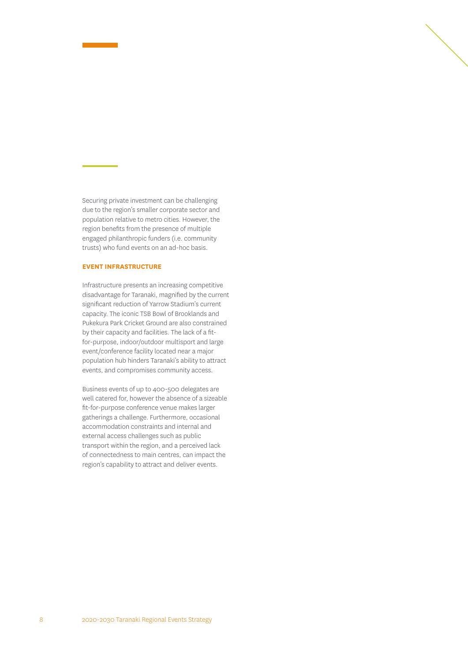Securing private investment can be challenging due to the region's smaller corporate sector and population relative to metro cities. However, the region benefits from the presence of multiple engaged philanthropic funders (i.e. community trusts) who fund events on an ad-hoc basis.

#### **EVENT INFRASTRUCTURE**

Infrastructure presents an increasing competitive disadvantage for Taranaki, magnified by the current significant reduction of Yarrow Stadium's current capacity. The iconic TSB Bowl of Brooklands and Pukekura Park Cricket Ground are also constrained by their capacity and facilities. The lack of a fitfor-purpose, indoor/outdoor multisport and large event/conference facility located near a major population hub hinders Taranaki's ability to attract events, and compromises community access.

Business events of up to 400-500 delegates are well catered for, however the absence of a sizeable fit-for-purpose conference venue makes larger gatherings a challenge. Furthermore, occasional accommodation constraints and internal and external access challenges such as public transport within the region, and a perceived lack of connectedness to main centres, can impact the region's capability to attract and deliver events.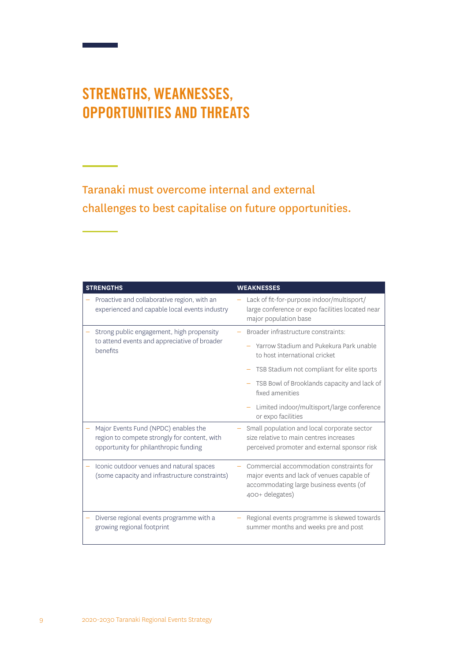## STRENGTHS, WEAKNESSES, OPPORTUNITIES AND THREATS

Taranaki must overcome internal and external challenges to best capitalise on future opportunities.

| <b>STRENGTHS</b>                                                                                                              | <b>WEAKNESSES</b>                                                                                                                                    |
|-------------------------------------------------------------------------------------------------------------------------------|------------------------------------------------------------------------------------------------------------------------------------------------------|
| Proactive and collaborative region, with an<br>experienced and capable local events industry                                  | Lack of fit-for-purpose indoor/multisport/<br>large conference or expo facilities located near<br>major population base                              |
| Strong public engagement, high propensity<br>to attend events and appreciative of broader                                     | Broader infrastructure constraints:                                                                                                                  |
| benefits                                                                                                                      | Yarrow Stadium and Pukekura Park unable<br>to host international cricket                                                                             |
|                                                                                                                               | TSB Stadium not compliant for elite sports                                                                                                           |
|                                                                                                                               | TSB Bowl of Brooklands capacity and lack of<br>fixed amenities                                                                                       |
|                                                                                                                               | Limited indoor/multisport/large conference<br>or expo facilities                                                                                     |
| Major Events Fund (NPDC) enables the<br>region to compete strongly for content, with<br>opportunity for philanthropic funding | Small population and local corporate sector<br>size relative to main centres increases<br>perceived promoter and external sponsor risk               |
| Iconic outdoor venues and natural spaces<br>(some capacity and infrastructure constraints)                                    | Commercial accommodation constraints for<br>major events and lack of venues capable of<br>accommodating large business events (of<br>400+ delegates) |
| Diverse regional events programme with a<br>growing regional footprint                                                        | Regional events programme is skewed towards<br>summer months and weeks pre and post                                                                  |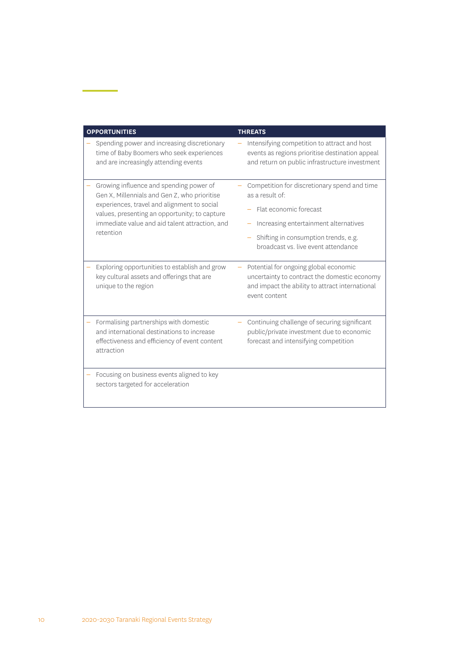| <b>OPPORTUNITIES</b>                                                                                                                                                                                                                                   | <b>THREATS</b>                                                                                                                                                                                                    |
|--------------------------------------------------------------------------------------------------------------------------------------------------------------------------------------------------------------------------------------------------------|-------------------------------------------------------------------------------------------------------------------------------------------------------------------------------------------------------------------|
| Spending power and increasing discretionary<br>time of Baby Boomers who seek experiences<br>and are increasingly attending events                                                                                                                      | Intensifying competition to attract and host<br>events as regions prioritise destination appeal<br>and return on public infrastructure investment                                                                 |
| Growing influence and spending power of<br>Gen X, Millennials and Gen Z, who prioritise<br>experiences, travel and alignment to social<br>values, presenting an opportunity; to capture<br>immediate value and aid talent attraction, and<br>retention | Competition for discretionary spend and time<br>as a result of:<br>Flat economic forecast<br>Increasing entertainment alternatives<br>Shifting in consumption trends, e.g.<br>broadcast vs. live event attendance |
| Exploring opportunities to establish and grow<br>key cultural assets and offerings that are<br>unique to the region                                                                                                                                    | Potential for ongoing global economic<br>uncertainty to contract the domestic economy<br>and impact the ability to attract international<br>event content                                                         |
| Formalising partnerships with domestic<br>and international destinations to increase<br>effectiveness and efficiency of event content<br>attraction                                                                                                    | Continuing challenge of securing significant<br>public/private investment due to economic<br>forecast and intensifying competition                                                                                |
| Focusing on business events aligned to key<br>sectors targeted for acceleration                                                                                                                                                                        |                                                                                                                                                                                                                   |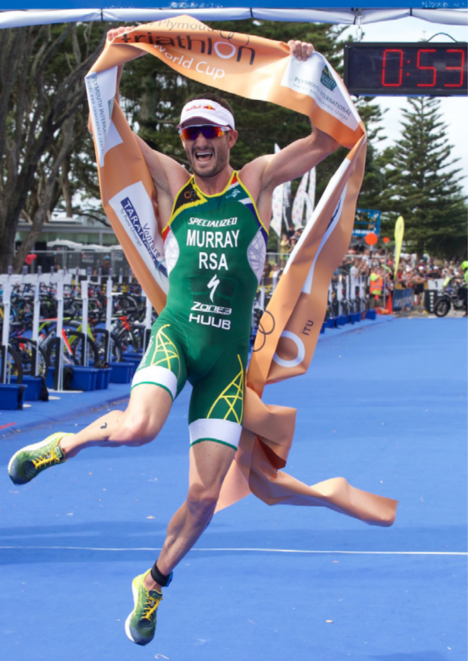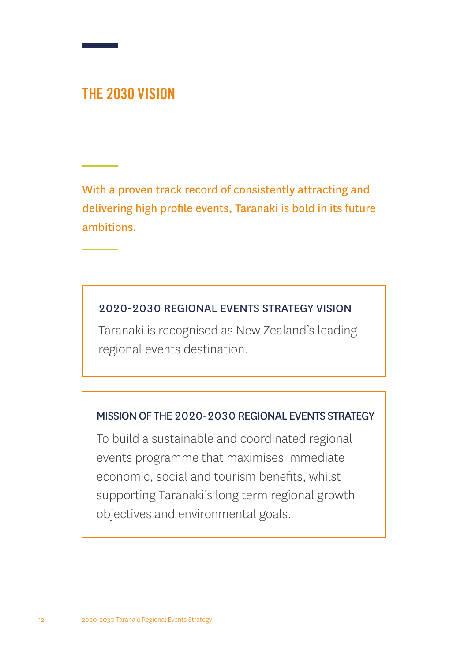### THE 2030 VISION

With a proven track record of consistently attracting and delivering high profile events, Taranaki is bold in its future ambitions.

### 2020-2030 REGIONAL EVENTS STRATEGY VISION

Taranaki is recognised as New Zealand's leading regional events destination.

### MISSION OF THE 2020-2030 REGIONAL EVENTS STRATEGY

To build a sustainable and coordinated regional events programme that maximises immediate economic, social and tourism benefits, whilst supporting Taranaki's long term regional growth objectives and environmental goals.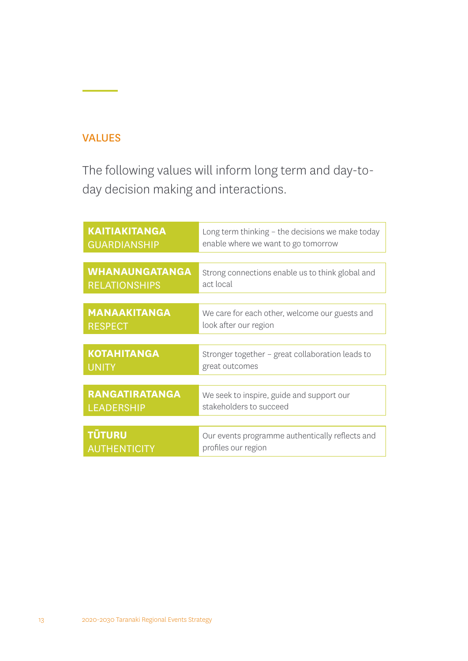### VALUES

The following values will inform long term and day-today decision making and interactions.

| <b>KAITIAKITANGA</b>  | Long term thinking - the decisions we make today |
|-----------------------|--------------------------------------------------|
| <b>GUARDIANSHIP</b>   | enable where we want to go tomorrow              |
|                       |                                                  |
| <b>WHANAUNGATANGA</b> | Strong connections enable us to think global and |
| <b>RELATIONSHIPS</b>  | act local                                        |
|                       |                                                  |
| <b>MANAAKITANGA</b>   | We care for each other, welcome our guests and   |
| <b>RESPECT</b>        | look after our region                            |
|                       |                                                  |
| <b>KOTAHITANGA</b>    | Stronger together - great collaboration leads to |
| <b>UNITY</b>          | great outcomes                                   |
|                       |                                                  |
| <b>RANGATIRATANGA</b> | We seek to inspire, guide and support our        |
| <b>LEADERSHIP</b>     | stakeholders to succeed                          |
|                       |                                                  |
| <b>TŪTURU</b>         | Our events programme authentically reflects and  |
| <b>AUTHENTICITY</b>   | profiles our region                              |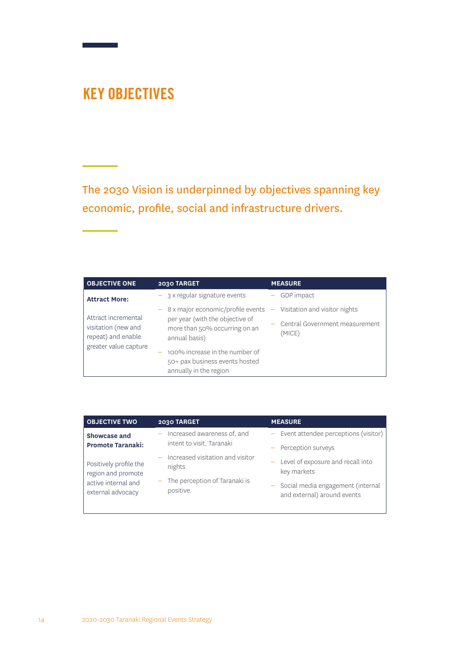## KEY OBJECTIVES

The 2030 Vision is underpinned by objectives spanning key economic, profile, social and infrastructure drivers.

| <b>OBJECTIVE ONE</b>                                                                      | 2030 TARGET                                                                                                                                              | <b>MEASURE</b>                                                              |
|-------------------------------------------------------------------------------------------|----------------------------------------------------------------------------------------------------------------------------------------------------------|-----------------------------------------------------------------------------|
| <b>Attract More:</b>                                                                      | $-$ 3 x regular signature events                                                                                                                         | GDP impact<br>$\overline{\phantom{m}}$                                      |
| Attract incremental<br>visitation (new and<br>repeat) and enable<br>greater value capture | 8 x major economic/profile events<br>per year (with the objective of<br>more than 50% occurring on an<br>annual basis)<br>100% increase in the number of | - Visitation and visitor nights<br>Central Government measurement<br>(MICE) |
|                                                                                           | 50+ pax business events hosted<br>annually in the region                                                                                                 |                                                                             |

| <b>OBJECTIVE TWO</b>     | 2030 TARGET                       | <b>MEASURE</b>                       |
|--------------------------|-----------------------------------|--------------------------------------|
| Showcase and             | Increased awareness of, and       | Event attendee perceptions (visitor) |
| <b>Promote Taranaki:</b> | intent to visit, Taranaki         | Perception surveys                   |
| Positively profile the   | Increased visitation and visitor  | Level of exposure and recall into    |
| region and promote       | nights                            | key markets                          |
| active internal and      | $-$ The perception of Taranaki is | Social media engagement (internal    |
| external advocacy        | positive                          | and external) around events          |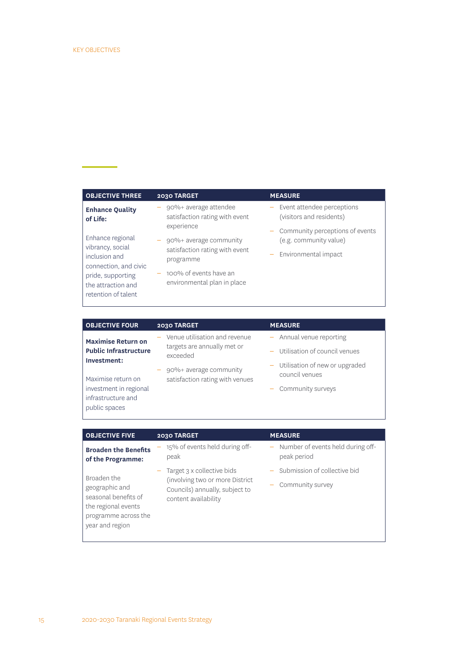and the state of the state of

| <b>OBJECTIVE THREE</b>                                                                                                                           | 2030 TARGET                                                                                                                    | <b>MEASURE</b>                                                                                   |
|--------------------------------------------------------------------------------------------------------------------------------------------------|--------------------------------------------------------------------------------------------------------------------------------|--------------------------------------------------------------------------------------------------|
| <b>Enhance Quality</b><br>of Life:                                                                                                               | 90%+ average attendee<br>satisfaction rating with event<br>experience                                                          | Event attendee perceptions<br>-<br>(visitors and residents)<br>- Community perceptions of events |
| Enhance regional<br>vibrancy, social<br>inclusion and<br>connection, and civic<br>pride, supporting<br>the attraction and<br>retention of talent | 90%+ average community<br>satisfaction rating with event<br>programme<br>100% of events have an<br>environmental plan in place | (e.g. community value)<br>- Environmental impact                                                 |

| Venue utilisation and revenue<br>- Annual venue reporting<br><b>Maximise Return on</b><br>targets are annually met or<br><b>Public Infrastructure</b><br>Utilisation of council venues<br>exceeded<br>Investment:<br>Utilisation of new or upgraded<br>90%+ average community<br>council venues<br>satisfaction rating with venues<br>Maximise return on<br>investment in regional<br>Community surveys | <b>OBJECTIVE FOUR</b> | 2030 TARGET | <b>MEASURE</b> |
|---------------------------------------------------------------------------------------------------------------------------------------------------------------------------------------------------------------------------------------------------------------------------------------------------------------------------------------------------------------------------------------------------------|-----------------------|-------------|----------------|
| infrastructure and<br>public spaces                                                                                                                                                                                                                                                                                                                                                                     |                       |             |                |

| <b>OBJECTIVE FIVE</b>                                                                                                   | 2030 TARGET                                                                                                             | <b>MEASURE</b>                                                                     |
|-------------------------------------------------------------------------------------------------------------------------|-------------------------------------------------------------------------------------------------------------------------|------------------------------------------------------------------------------------|
| <b>Broaden the Benefits</b><br>of the Programme:                                                                        | 15% of events held during off-<br>peak                                                                                  | Number of events held during off-<br>-<br>peak period                              |
| Broaden the<br>geographic and<br>seasonal benefits of<br>the regional events<br>programme across the<br>year and region | Target 3 x collective bids<br>(involving two or more District<br>Councils) annually, subject to<br>content availability | Submission of collective bid<br>$\overline{\phantom{0}}$<br>Community survey<br>н. |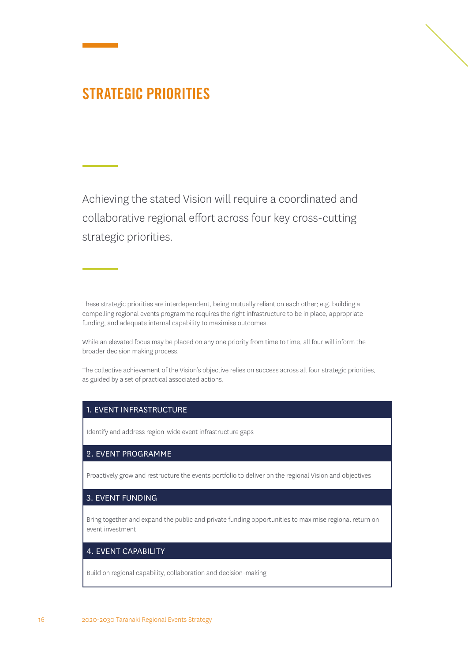### STRATEGIC PRIORITIES

Achieving the stated Vision will require a coordinated and collaborative regional effort across four key cross-cutting strategic priorities.

These strategic priorities are interdependent, being mutually reliant on each other; e.g. building a compelling regional events programme requires the right infrastructure to be in place, appropriate funding, and adequate internal capability to maximise outcomes.

While an elevated focus may be placed on any one priority from time to time, all four will inform the broader decision making process.

The collective achievement of the Vision's objective relies on success across all four strategic priorities, as guided by a set of practical associated actions.

#### 1. EVENT INFRASTRUCTURE

Identify and address region-wide event infrastructure gaps

#### 2. EVENT PROGRAMME

Proactively grow and restructure the events portfolio to deliver on the regional Vision and objectives

#### 3. EVENT FUNDING

Bring together and expand the public and private funding opportunities to maximise regional return on event investment

#### 4. EVENT CAPABILITY

Build on regional capability, collaboration and decision-making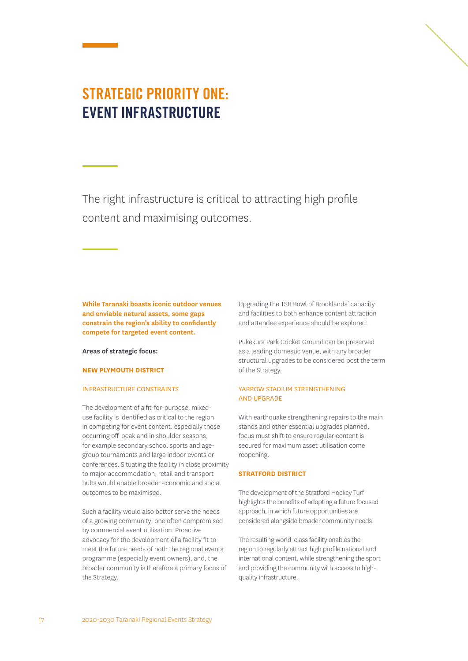## STRATEGIC PRIORITY ONE: EVENT INFRASTRUCTURE

The right infrastructure is critical to attracting high profile content and maximising outcomes.

**While Taranaki boasts iconic outdoor venues and enviable natural assets, some gaps constrain the region's ability to confidently compete for targeted event content.** 

**Areas of strategic focus:**

**NEW PLYMOUTH DISTRICT**

#### INFRASTRUCTURE CONSTRAINTS

The development of a fit-for-purpose, mixeduse facility is identified as critical to the region in competing for event content: especially those occurring off-peak and in shoulder seasons, for example secondary school sports and agegroup tournaments and large indoor events or conferences. Situating the facility in close proximity to major accommodation, retail and transport hubs would enable broader economic and social outcomes to be maximised.

Such a facility would also better serve the needs of a growing community; one often compromised by commercial event utilisation. Proactive advocacy for the development of a facility fit to meet the future needs of both the regional events programme (especially event owners), and, the broader community is therefore a primary focus of the Strategy.

Upgrading the TSB Bowl of Brooklands' capacity and facilities to both enhance content attraction and attendee experience should be explored.

Pukekura Park Cricket Ground can be preserved as a leading domestic venue, with any broader structural upgrades to be considered post the term of the Strategy.

#### YARROW STADIUM STRENGTHENING AND UPGRADE

With earthquake strengthening repairs to the main stands and other essential upgrades planned, focus must shift to ensure regular content is secured for maximum asset utilisation come reopening.

#### **STRATFORD DISTRICT**

The development of the Stratford Hockey Turf highlights the benefits of adopting a future focused approach, in which future opportunities are considered alongside broader community needs.

The resulting world-class facility enables the region to regularly attract high profile national and international content, while strengthening the sport and providing the community with access to highquality infrastructure.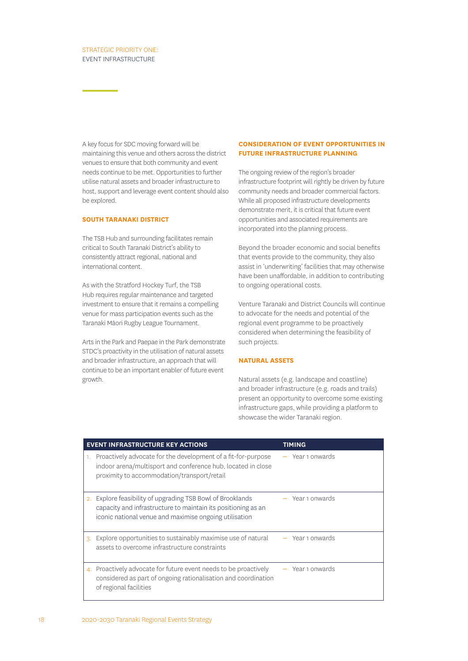A key focus for SDC moving forward will be maintaining this venue and others across the district venues to ensure that both community and event needs continue to be met. Opportunities to further utilise natural assets and broader infrastructure to host, support and leverage event content should also be explored.

#### **SOUTH TARANAKI DISTRICT**

The TSB Hub and surrounding facilitates remain critical to South Taranaki District's ability to consistently attract regional, national and international content.

As with the Stratford Hockey Turf, the TSB Hub requires regular maintenance and targeted investment to ensure that it remains a compelling venue for mass participation events such as the Taranaki Māori Rugby League Tournament.

Arts in the Park and Paepae in the Park demonstrate STDC's proactivity in the utilisation of natural assets and broader infrastructure, an approach that will continue to be an important enabler of future event growth.

#### **CONSIDERATION OF EVENT OPPORTUNITIES IN FUTURE INFRASTRUCTURE PLANNING**

The ongoing review of the region's broader infrastructure footprint will rightly be driven by future community needs and broader commercial factors. While all proposed infrastructure developments demonstrate merit, it is critical that future event opportunities and associated requirements are incorporated into the planning process.

Beyond the broader economic and social benefits that events provide to the community, they also assist in 'underwriting' facilities that may otherwise have been unaffordable, in addition to contributing to ongoing operational costs.

Venture Taranaki and District Councils will continue to advocate for the needs and potential of the regional event programme to be proactively considered when determining the feasibility of such projects.

#### **NATURAL ASSETS**

Natural assets (e.g. landscape and coastline) and broader infrastructure (e.g. roads and trails) present an opportunity to overcome some existing infrastructure gaps, while providing a platform to showcase the wider Taranaki region.

|                             | <b>EVENT INFRASTRUCTURE KEY ACTIONS</b>                                                                                                                                            | <b>TIMING</b>    |
|-----------------------------|------------------------------------------------------------------------------------------------------------------------------------------------------------------------------------|------------------|
| 1.                          | Proactively advocate for the development of a fit-for-purpose<br>indoor arena/multisport and conference hub, located in close<br>proximity to accommodation/transport/retail       | - Year 1 onwards |
| 2.                          | Explore feasibility of upgrading TSB Bowl of Brooklands<br>capacity and infrastructure to maintain its positioning as an<br>iconic national venue and maximise ongoing utilisation | - Year 1 onwards |
| $\mathcal{R}_{\mathcal{L}}$ | Explore opportunities to sustainably maximise use of natural<br>assets to overcome infrastructure constraints                                                                      | - Year 1 onwards |
| 4.                          | Proactively advocate for future event needs to be proactively<br>considered as part of ongoing rationalisation and coordination<br>of regional facilities                          | - Year 1 onwards |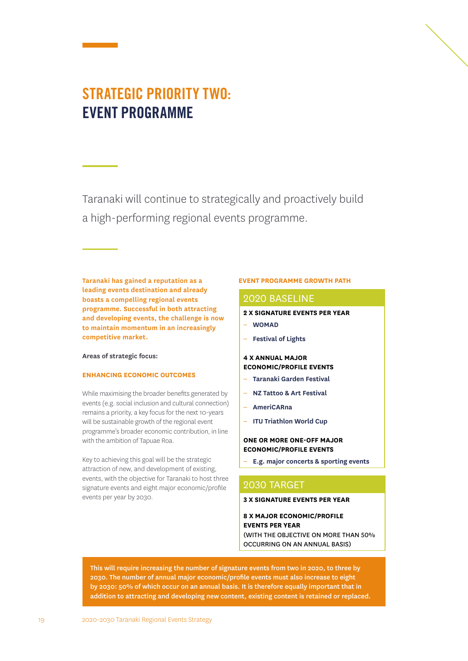### STRATEGIC PRIORITY TWO: EVENT PROGRAMME

Taranaki will continue to strategically and proactively build a high-performing regional events programme.

**Taranaki has gained a reputation as a leading events destination and already boasts a compelling regional events programme. Successful in both attracting and developing events, the challenge is now to maintain momentum in an increasingly competitive market.**

#### **Areas of strategic focus:**

#### **ENHANCING ECONOMIC OUTCOMES**

While maximising the broader benefits generated by events (e.g. social inclusion and cultural connection) remains a priority, a key focus for the next 10-years will be sustainable growth of the regional event programme's broader economic contribution, in line with the ambition of Tapuae Roa.

Key to achieving this goal will be the strategic attraction of new, and development of existing, events, with the objective for Taranaki to host three signature events and eight major economic/profile events per year by 2030.

#### **EVENT PROGRAMME GROWTH PATH**

#### 2020 BASELINE

#### **2 X SIGNATURE EVENTS PER YEAR**

- **WOMAD**
- **Festival of Lights**

#### **4 X ANNUAL MAJOR ECONOMIC/PROFILE EVENTS**

- **Taranaki Garden Festival**
- **NZ Tattoo & Art Festival**
- **AmeriCARna**
- **ITU Triathlon World Cup**

#### **ONE OR MORE ONE-OFF MAJOR ECONOMIC/PROFILE EVENTS**

– **E.g. major concerts & sporting events**

#### 2030 TARGET

#### **3 X SIGNATURE EVENTS PER YEAR**

**8 X MAJOR ECONOMIC/PROFILE EVENTS PER YEAR**  (WITH THE OBJECTIVE ON MORE THAN 50% OCCURRING ON AN ANNUAL BASIS)

This will require increasing the number of signature events from two in 2020, to three by 2030. The number of annual major economic/profile events must also increase to eight by 2030: 50% of which occur on an annual basis. It is therefore equally important that in addition to attracting and developing new content, existing content is retained or replaced.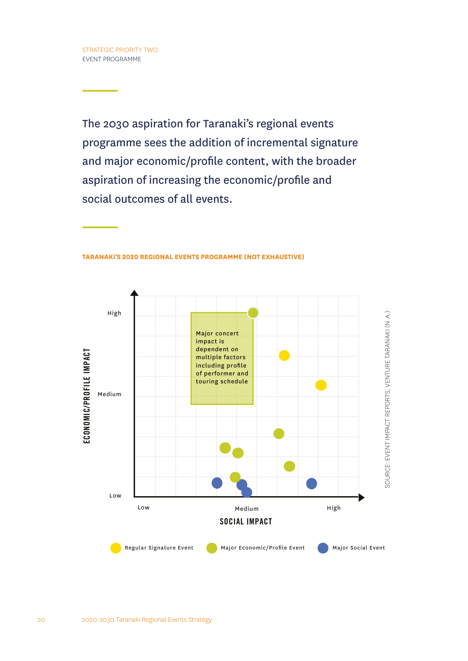The 2030 aspiration for Taranaki's regional events programme sees the addition of incremental signature and major economic/profile content, with the broader aspiration of increasing the economic/profile and social outcomes of all events.



#### **TARANAKI'S 2020 REGIONAL EVENTS PROGRAMME (NOT EXHAUSTIVE)**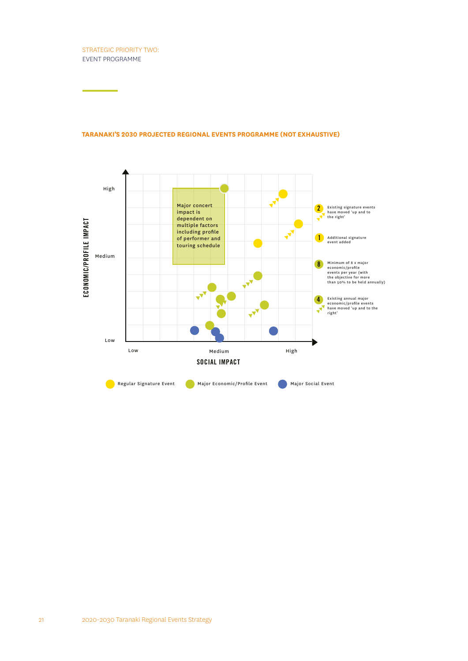STRATEGIC PRIORITY TWO: EVENT PROGRAMME



#### **TARANAKI'S 2030 PROJECTED REGIONAL EVENTS PROGRAMME (NOT EXHAUSTIVE)**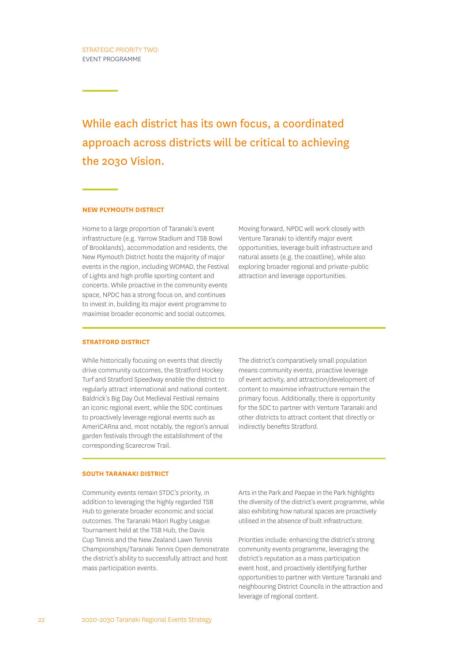While each district has its own focus, a coordinated approach across districts will be critical to achieving the 2030 Vision.

#### **NEW PLYMOUTH DISTRICT**

Home to a large proportion of Taranaki's event infrastructure (e.g. Yarrow Stadium and TSB Bowl of Brooklands), accommodation and residents, the New Plymouth District hosts the majority of major events in the region, including WOMAD, the Festival of Lights and high profile sporting content and concerts. While proactive in the community events space, NPDC has a strong focus on, and continues to invest in, building its major event programme to maximise broader economic and social outcomes.

Moving forward, NPDC will work closely with Venture Taranaki to identify major event opportunities, leverage built infrastructure and natural assets (e.g. the coastline), while also exploring broader regional and private-public attraction and leverage opportunities.

#### **STRATFORD DISTRICT**

While historically focusing on events that directly drive community outcomes, the Stratford Hockey Turf and Stratford Speedway enable the district to regularly attract international and national content. Baldrick's Big Day Out Medieval Festival remains an iconic regional event, while the SDC continues to proactively leverage regional events such as AmeriCARna and, most notably, the region's annual garden festivals through the establishment of the corresponding Scarecrow Trail.

The district's comparatively small population means community events, proactive leverage of event activity, and attraction/development of content to maximise infrastructure remain the primary focus. Additionally, there is opportunity for the SDC to partner with Venture Taranaki and other districts to attract content that directly or indirectly benefits Stratford.

#### **SOUTH TARANAKI DISTRICT**

Community events remain STDC's priority, in addition to leveraging the highly regarded TSB Hub to generate broader economic and social outcomes. The Taranaki Māori Rugby League Tournament held at the TSB Hub, the Davis Cup Tennis and the New Zealand Lawn Tennis Championships/Taranaki Tennis Open demonstrate the district's ability to successfully attract and host mass participation events.

Arts in the Park and Paepae in the Park highlights the diversity of the district's event programme, while also exhibiting how natural spaces are proactively utilised in the absence of built infrastructure.

Priorities include: enhancing the district's strong community events programme, leveraging the district's reputation as a mass participation event host, and proactively identifying further opportunities to partner with Venture Taranaki and neighbouring District Councils in the attraction and leverage of regional content.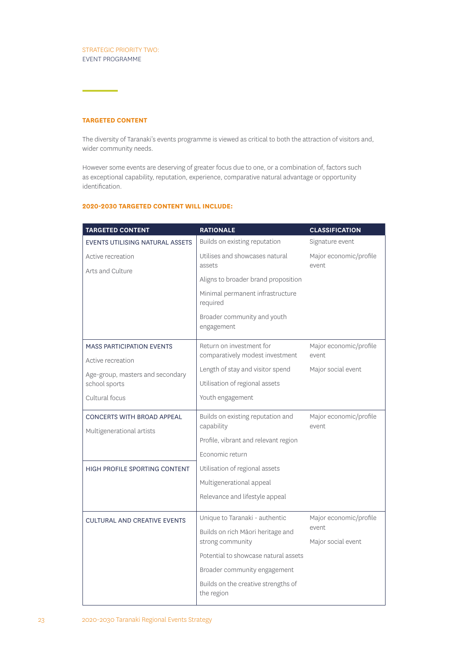#### **TARGETED CONTENT**

The diversity of Taranaki's events programme is viewed as critical to both the attraction of visitors and, wider community needs.

However some events are deserving of greater focus due to one, or a combination of, factors such as exceptional capability, reputation, experience, comparative natural advantage or opportunity identification.

#### **2020-2030 TARGETED CONTENT WILL INCLUDE:**

| <b>TARGETED CONTENT</b>                           | <b>RATIONALE</b>                                            | <b>CLASSIFICATION</b>           |
|---------------------------------------------------|-------------------------------------------------------------|---------------------------------|
| EVENTS UTILISING NATURAL ASSETS                   | Builds on existing reputation                               | Signature event                 |
| Active recreation<br>Arts and Culture             | Utilises and showcases natural<br>assets                    | Major economic/profile<br>event |
|                                                   | Aligns to broader brand proposition                         |                                 |
|                                                   | Minimal permanent infrastructure<br>required                |                                 |
|                                                   | Broader community and youth<br>engagement                   |                                 |
| <b>MASS PARTICIPATION EVENTS</b>                  | Return on investment for<br>comparatively modest investment | Major economic/profile<br>event |
| Active recreation                                 | Length of stay and visitor spend                            | Major social event              |
| Age-group, masters and secondary<br>school sports | Utilisation of regional assets                              |                                 |
| Cultural focus                                    | Youth engagement                                            |                                 |
| <b>CONCERTS WITH BROAD APPEAL</b>                 | Builds on existing reputation and<br>capability             | Major economic/profile<br>event |
| Multigenerational artists                         | Profile, vibrant and relevant region                        |                                 |
|                                                   | Economic return                                             |                                 |
| <b>HIGH PROFILE SPORTING CONTENT</b>              | Utilisation of regional assets                              |                                 |
|                                                   | Multigenerational appeal                                    |                                 |
|                                                   | Relevance and lifestyle appeal                              |                                 |
|                                                   |                                                             |                                 |
| <b>CULTURAL AND CREATIVE EVENTS</b>               | Unique to Taranaki - authentic                              | Major economic/profile          |
|                                                   | Builds on rich Māori heritage and                           | event                           |
|                                                   | strong community                                            | Major social event              |
|                                                   | Potential to showcase natural assets                        |                                 |
|                                                   | Broader community engagement                                |                                 |
|                                                   | Builds on the creative strengths of<br>the region           |                                 |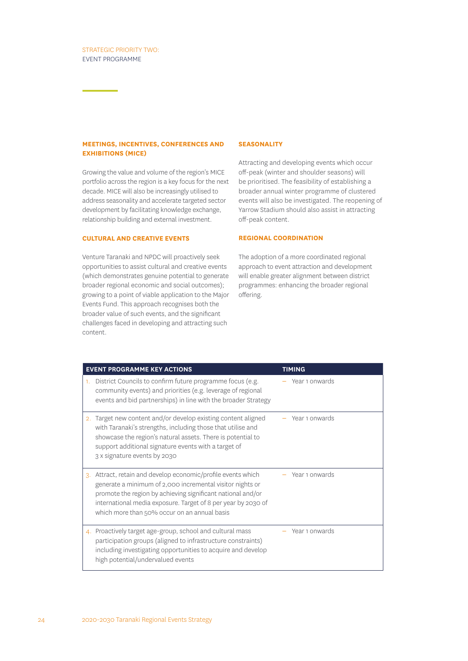#### **MEETINGS, INCENTIVES, CONFERENCES AND EXHIBITIONS (MICE)**

Growing the value and volume of the region's MICE portfolio across the region is a key focus for the next decade. MICE will also be increasingly utilised to address seasonality and accelerate targeted sector development by facilitating knowledge exchange, relationship building and external investment.

#### **CULTURAL AND CREATIVE EVENTS**

Venture Taranaki and NPDC will proactively seek opportunities to assist cultural and creative events (which demonstrates genuine potential to generate broader regional economic and social outcomes); growing to a point of viable application to the Major Events Fund. This approach recognises both the broader value of such events, and the significant challenges faced in developing and attracting such content.

#### **SEASONALITY**

Attracting and developing events which occur off-peak (winter and shoulder seasons) will be prioritised. The feasibility of establishing a broader annual winter programme of clustered events will also be investigated. The reopening of Yarrow Stadium should also assist in attracting off-peak content.

#### **REGIONAL COORDINATION**

The adoption of a more coordinated regional approach to event attraction and development will enable greater alignment between district programmes: enhancing the broader regional offering.

|    | <b>EVENT PROGRAMME KEY ACTIONS</b>                                                                                                                                                                                                                                                                     | <b>TIMING</b>    |
|----|--------------------------------------------------------------------------------------------------------------------------------------------------------------------------------------------------------------------------------------------------------------------------------------------------------|------------------|
| 1. | District Councils to confirm future programme focus (e.g.<br>community events) and priorities (e.g. leverage of regional<br>events and bid partnerships) in line with the broader Strategy                                                                                                             | Year 1 onwards   |
|    | 2. Target new content and/or develop existing content aligned<br>with Taranaki's strengths, including those that utilise and<br>showcase the region's natural assets. There is potential to<br>support additional signature events with a target of<br>3 x signature events by 2030                    | - Year 1 onwards |
| 3. | Attract, retain and develop economic/profile events which<br>generate a minimum of 2,000 incremental visitor nights or<br>promote the region by achieving significant national and/or<br>international media exposure. Target of 8 per year by 2030 of<br>which more than 50% occur on an annual basis | - Year 1 onwards |
|    | 4. Proactively target age-group, school and cultural mass<br>participation groups (aligned to infrastructure constraints)<br>including investigating opportunities to acquire and develop<br>high potential/undervalued events                                                                         | - Year 1 onwards |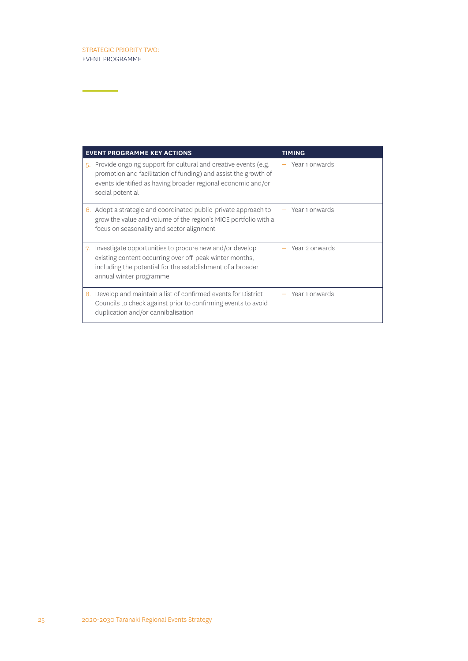a.<br>Bar

| <b>EVENT PROGRAMME KEY ACTIONS</b>                                                                                                                                                                                          | TIMING             |
|-----------------------------------------------------------------------------------------------------------------------------------------------------------------------------------------------------------------------------|--------------------|
| Provide ongoing support for cultural and creative events (e.g.<br>5.<br>promotion and facilitation of funding) and assist the growth of<br>events identified as having broader regional economic and/or<br>social potential | $-$ Year 1 onwards |
| 6. Adopt a strategic and coordinated public-private approach to<br>grow the value and volume of the region's MICE portfolio with a<br>focus on seasonality and sector alignment                                             | - Year 1 onwards   |
| 7. Investigate opportunities to procure new and/or develop<br>existing content occurring over off-peak winter months,<br>including the potential for the establishment of a broader<br>annual winter programme              | - Year 2 onwards   |
| 8. Develop and maintain a list of confirmed events for District<br>Councils to check against prior to confirming events to avoid<br>duplication and/or cannibalisation                                                      | $-$ Year 1 onwards |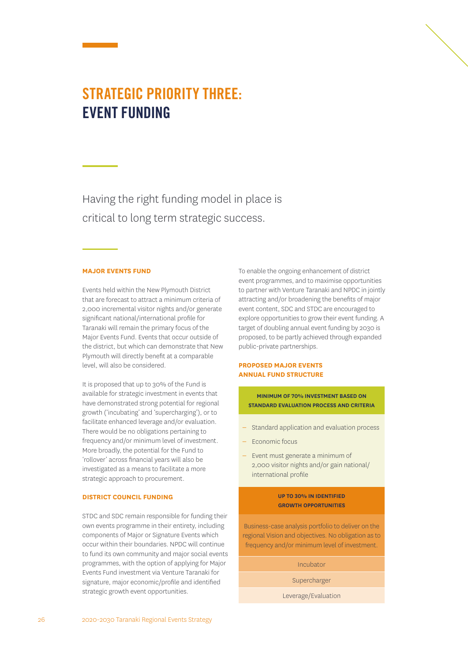## STRATEGIC PRIORITY THREE: EVENT FUNDING

Having the right funding model in place is critical to long term strategic success.

#### **MAJOR EVENTS FUND**

Events held within the New Plymouth District that are forecast to attract a minimum criteria of 2,000 incremental visitor nights and/or generate significant national/international profile for Taranaki will remain the primary focus of the Major Events Fund. Events that occur outside of the district, but which can demonstrate that New Plymouth will directly benefit at a comparable level, will also be considered.

It is proposed that up to 30% of the Fund is available for strategic investment in events that have demonstrated strong potential for regional growth ('incubating' and 'supercharging'), or to facilitate enhanced leverage and/or evaluation. There would be no obligations pertaining to frequency and/or minimum level of investment. More broadly, the potential for the Fund to 'rollover' across financial years will also be investigated as a means to facilitate a more strategic approach to procurement.

#### **DISTRICT COUNCIL FUNDING**

STDC and SDC remain responsible for funding their own events programme in their entirety, including components of Major or Signature Events which occur within their boundaries. NPDC will continue to fund its own community and major social events programmes, with the option of applying for Major Events Fund investment via Venture Taranaki for signature, major economic/profile and identified strategic growth event opportunities.

To enable the ongoing enhancement of district event programmes, and to maximise opportunities to partner with Venture Taranaki and NPDC in jointly attracting and/or broadening the benefits of major event content, SDC and STDC are encouraged to explore opportunities to grow their event funding. A target of doubling annual event funding by 2030 is proposed, to be partly achieved through expanded public-private partnerships.

#### **PROPOSED MAJOR EVENTS ANNUAL FUND STRUCTURE**

**MINIMUM OF 70% INVESTMENT BASED ON STANDARD EVALUATION PROCESS AND CRITERIA**

- Standard application and evaluation process
- Economic focus
- Event must generate a minimum of 2,000 visitor nights and/or gain national/ international profile

#### **UP TO 30% IN IDENTIFIED GROWTH OPPORTUNITIES**

Business-case analysis portfolio to deliver on the regional Vision and objectives. No obligation as to frequency and/or minimum level of investment.

Incubator

#### Supercharger

Leverage/Evaluation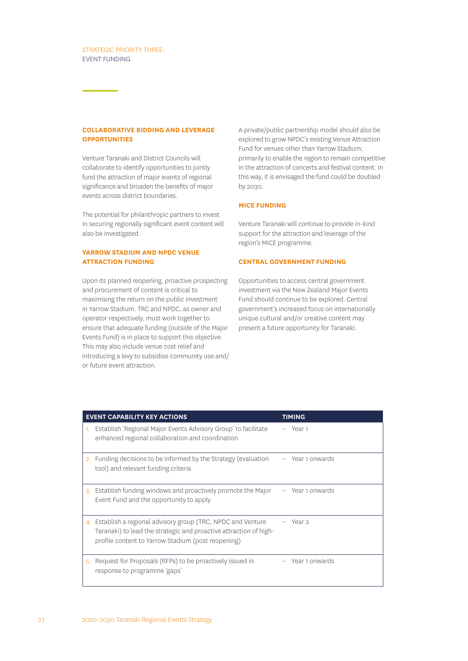#### **COLLABORATIVE BIDDING AND LEVERAGE OPPORTUNITIES**

Venture Taranaki and District Councils will collaborate to identify opportunities to jointly fund the attraction of major events of regional significance and broaden the benefits of major events across district boundaries.

The potential for philanthropic partners to invest in securing regionally significant event content will also be investigated.

#### **YARROW STADIUM AND NPDC VENUE ATTRACTION FUNDING**

Upon its planned reopening, proactive prospecting and procurement of content is critical to maximising the return on the public investment in Yarrow Stadium. TRC and NPDC, as owner and operator respectively, must work together to ensure that adequate funding (outside of the Major Events Fund) is in place to support this objective. This may also include venue cost relief and introducing a levy to subsidise community use and/ or future event attraction.

A private/public partnership model should also be explored to grow NPDC's existing Venue Attraction Fund for venues other than Yarrow Stadium; primarily to enable the region to remain competitive in the attraction of concerts and festival content. In this way, it is envisaged the fund could be doubled by 2030.

#### **MICE FUNDING**

Venture Taranaki will continue to provide in-kind support for the attraction and leverage of the region's MICE programme.

#### **CENTRAL GOVERNMENT FUNDING**

Opportunities to access central government investment via the New Zealand Major Events Fund should continue to be explored. Central government's increased focus on internationally unique cultural and/or creative content may present a future opportunity for Taranaki.

|    | <b>EVENT CAPABILITY KEY ACTIONS</b>                                                                                                                                                   | <b>TIMING</b>    |
|----|---------------------------------------------------------------------------------------------------------------------------------------------------------------------------------------|------------------|
| 1. | Establish 'Regional Major Events Advisory Group' to facilitate<br>enhanced regional collaboration and coordination                                                                    | $-$ Year 1       |
|    | 2. Funding decisions to be informed by the Strategy (evaluation<br>tool) and relevant funding criteria                                                                                | - Year 1 onwards |
| 3. | Establish funding windows and proactively promote the Major $-$ Year 1 onwards<br>Event Fund and the opportunity to apply                                                             |                  |
| 4. | Establish a regional advisory group (TRC, NPDC and Venture<br>Taranaki) to lead the strategic and proactive attraction of high-<br>profile content to Yarrow Stadium (post reopening) | $-$ Year 2       |
| 5. | Request for Proposals (RFPs) to be proactively issued in<br>response to programme 'gaps'                                                                                              | - Year 1 onwards |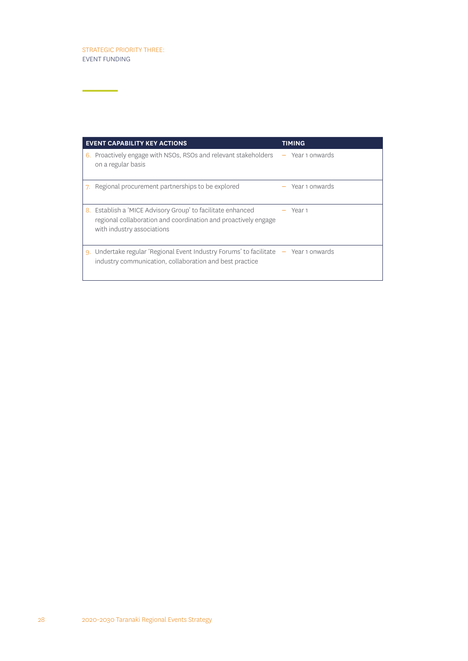$\overline{\phantom{0}}$ 

| <b>EVENT CAPABILITY KEY ACTIONS</b>                                                                                                                         | TIMING           |
|-------------------------------------------------------------------------------------------------------------------------------------------------------------|------------------|
| 6. Proactively engage with NSOs, RSOs and relevant stakeholders $-$ Year 1 onwards<br>on a regular basis                                                    |                  |
| 7. Regional procurement partnerships to be explored                                                                                                         | - Year 1 onwards |
| 8. Establish a 'MICE Advisory Group' to facilitate enhanced<br>regional collaboration and coordination and proactively engage<br>with industry associations | $-$ Year 1       |
| 9. Undertake regular 'Regional Event Industry Forums' to facilitate $-$ Year 1 onwards<br>industry communication, collaboration and best practice           |                  |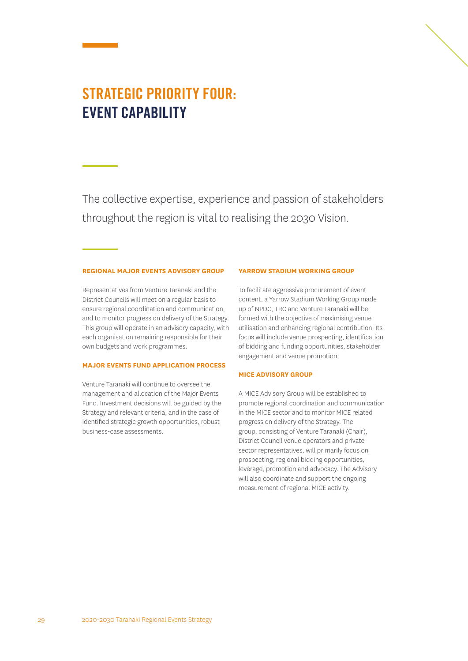### STRATEGIC PRIORITY FOUR: EVENT CAPABILITY

The collective expertise, experience and passion of stakeholders throughout the region is vital to realising the 2030 Vision.

#### **REGIONAL MAJOR EVENTS ADVISORY GROUP**

Representatives from Venture Taranaki and the District Councils will meet on a regular basis to ensure regional coordination and communication, and to monitor progress on delivery of the Strategy. This group will operate in an advisory capacity, with each organisation remaining responsible for their own budgets and work programmes.

#### **MAJOR EVENTS FUND APPLICATION PROCESS**

Venture Taranaki will continue to oversee the management and allocation of the Major Events Fund. Investment decisions will be guided by the Strategy and relevant criteria, and in the case of identified strategic growth opportunities, robust business-case assessments.

#### **YARROW STADIUM WORKING GROUP**

To facilitate aggressive procurement of event content, a Yarrow Stadium Working Group made up of NPDC, TRC and Venture Taranaki will be formed with the objective of maximising venue utilisation and enhancing regional contribution. Its focus will include venue prospecting, identification of bidding and funding opportunities, stakeholder engagement and venue promotion.

#### **MICE ADVISORY GROUP**

A MICE Advisory Group will be established to promote regional coordination and communication in the MICE sector and to monitor MICE related progress on delivery of the Strategy. The group, consisting of Venture Taranaki (Chair), District Council venue operators and private sector representatives, will primarily focus on prospecting, regional bidding opportunities, leverage, promotion and advocacy. The Advisory will also coordinate and support the ongoing measurement of regional MICE activity.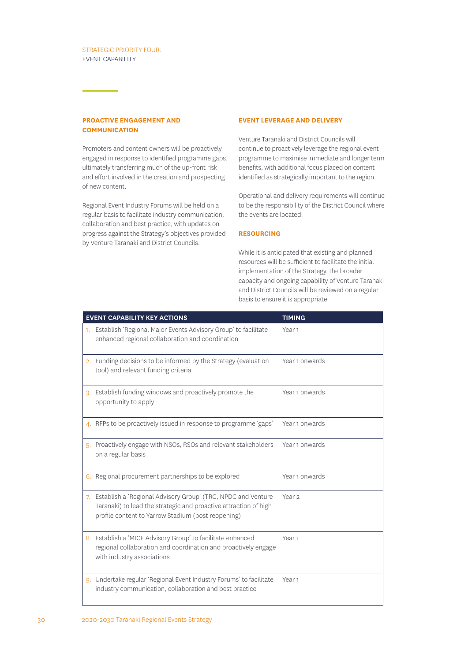#### **PROACTIVE ENGAGEMENT AND COMMUNICATION**

Promoters and content owners will be proactively engaged in response to identified programme gaps, ultimately transferring much of the up-front risk and effort involved in the creation and prospecting of new content.

Regional Event Industry Forums will be held on a regular basis to facilitate industry communication, collaboration and best practice, with updates on progress against the Strategy's objectives provided by Venture Taranaki and District Councils.

#### **EVENT LEVERAGE AND DELIVERY**

Venture Taranaki and District Councils will continue to proactively leverage the regional event programme to maximise immediate and longer term benefits, with additional focus placed on content identified as strategically important to the region.

Operational and delivery requirements will continue to be the responsibility of the District Council where the events are located.

#### **RESOURCING**

While it is anticipated that existing and planned resources will be sufficient to facilitate the initial implementation of the Strategy, the broader capacity and ongoing capability of Venture Taranaki and District Councils will be reviewed on a regular basis to ensure it is appropriate.

| <b>EVENT CAPABILITY KEY ACTIONS</b>                                                                                                                                                       | <b>TIMING</b>     |
|-------------------------------------------------------------------------------------------------------------------------------------------------------------------------------------------|-------------------|
| 1. Establish 'Regional Major Events Advisory Group' to facilitate<br>enhanced regional collaboration and coordination                                                                     | Year <sub>1</sub> |
| 2. Funding decisions to be informed by the Strategy (evaluation<br>tool) and relevant funding criteria                                                                                    | Year 1 onwards    |
| 3. Establish funding windows and proactively promote the<br>opportunity to apply                                                                                                          | Year 1 onwards    |
| 4. RFPs to be proactively issued in response to programme 'gaps'                                                                                                                          | Year 1 onwards    |
| 5. Proactively engage with NSOs, RSOs and relevant stakeholders<br>on a regular basis                                                                                                     | Year 1 onwards    |
| 6. Regional procurement partnerships to be explored                                                                                                                                       | Year 1 onwards    |
| 7. Establish a 'Regional Advisory Group' (TRC, NPDC and Venture<br>Taranaki) to lead the strategic and proactive attraction of high<br>profile content to Yarrow Stadium (post reopening) | Year <sub>2</sub> |
| 8. Establish a 'MICE Advisory Group' to facilitate enhanced<br>regional collaboration and coordination and proactively engage<br>with industry associations                               | Year <sub>1</sub> |
| 9. Undertake regular 'Regional Event Industry Forums' to facilitate<br>industry communication, collaboration and best practice                                                            | Year <sub>1</sub> |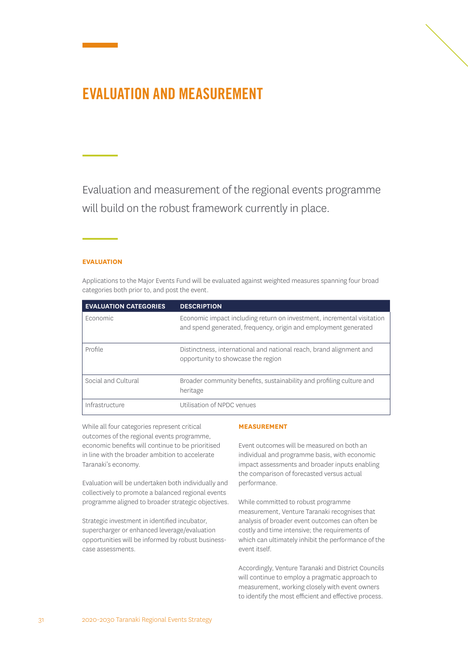### EVALUATION AND MEASUREMENT

Evaluation and measurement of the regional events programme will build on the robust framework currently in place.

#### **EVALUATION**

Applications to the Major Events Fund will be evaluated against weighted measures spanning four broad categories both prior to, and post the event.

| <b>EVALUATION CATEGORIES</b> | <b>DESCRIPTION</b>                                                                                                                        |
|------------------------------|-------------------------------------------------------------------------------------------------------------------------------------------|
| Economic                     | Economic impact including return on investment, incremental visitation<br>and spend generated, frequency, origin and employment generated |
| Profile                      | Distinctness, international and national reach, brand alignment and<br>opportunity to showcase the region                                 |
| Social and Cultural          | Broader community benefits, sustainability and profiling culture and<br>heritage                                                          |
| Infrastructure               | Utilisation of NPDC venues                                                                                                                |

While all four categories represent critical outcomes of the regional events programme, economic benefits will continue to be prioritised in line with the broader ambition to accelerate Taranaki's economy.

Evaluation will be undertaken both individually and collectively to promote a balanced regional events programme aligned to broader strategic objectives.

Strategic investment in identified incubator, supercharger or enhanced leverage/evaluation opportunities will be informed by robust businesscase assessments.

#### **MEASUREMENT**

Event outcomes will be measured on both an individual and programme basis, with economic impact assessments and broader inputs enabling the comparison of forecasted versus actual performance.

While committed to robust programme measurement, Venture Taranaki recognises that analysis of broader event outcomes can often be costly and time intensive; the requirements of which can ultimately inhibit the performance of the event itself.

Accordingly, Venture Taranaki and District Councils will continue to employ a pragmatic approach to measurement, working closely with event owners to identify the most efficient and effective process.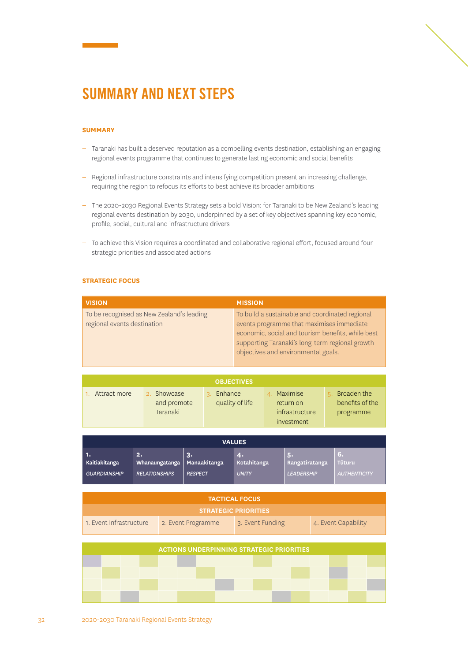## SUMMARY AND NEXT STEPS

#### **SUMMARY**

- Taranaki has built a deserved reputation as a compelling events destination, establishing an engaging regional events programme that continues to generate lasting economic and social benefits
- Regional infrastructure constraints and intensifying competition present an increasing challenge, requiring the region to refocus its efforts to best achieve its broader ambitions
- The 2020-2030 Regional Events Strategy sets a bold Vision: for Taranaki to be New Zealand's leading regional events destination by 2030, underpinned by a set of key objectives spanning key economic, profile, social, cultural and infrastructure drivers
- To achieve this Vision requires a coordinated and collaborative regional effort, focused around four strategic priorities and associated actions

#### **STRATEGIC FOCUS**

| <b>VISION</b>                             | <b>MISSION</b>                                    |
|-------------------------------------------|---------------------------------------------------|
| To be recognised as New Zealand's leading | To build a sustainable and coordinated regional   |
| regional events destination               | events programme that maximises immediate         |
|                                           | economic, social and tourism benefits, while best |
|                                           | supporting Taranaki's long-term regional growth   |
|                                           | objectives and environmental goals.               |
|                                           |                                                   |

| <b>OBJECTIVES</b> |             |                 |                   |                 |  |  |
|-------------------|-------------|-----------------|-------------------|-----------------|--|--|
| Attract more      | Showcase    | Enhance         | Maximise          | Broaden the     |  |  |
|                   | and promote | quality of life | return on         | benefits of the |  |  |
|                   | Taranaki    |                 | infrastructure    | programme       |  |  |
|                   |             |                 | <i>investment</i> |                 |  |  |

| <b>VALUES</b>       |                      |                    |                               |                      |                       |  |  |
|---------------------|----------------------|--------------------|-------------------------------|----------------------|-----------------------|--|--|
| ٠.<br>Kaitiakitanga | 2.<br>Whanaungatanga | 3.<br>Manaakitanga | $\overline{4}$<br>Kotahitanga | 5.<br>Rangatiratanga | <u>т</u> 6.<br>Tūturu |  |  |
| <b>GUARDIANSHIP</b> | <b>RELATIONSHIPS</b> | <b>RESPECT</b>     | <b>UNITY</b>                  | <b>LEADERSHIP</b>    | <b>AUTHENTICITY</b>   |  |  |

| <b>TACTICAL FOCUS</b>                                                                    |  |  |  |  |  |  |  |  |
|------------------------------------------------------------------------------------------|--|--|--|--|--|--|--|--|
| <b>STRATEGIC PRIORITIES</b>                                                              |  |  |  |  |  |  |  |  |
| 1. Event Infrastructure<br>3. Event Funding<br>4. Event Capability<br>2. Event Programme |  |  |  |  |  |  |  |  |
| <b>ACTIONS UNDERPINNING STRATEGIC PRIORITIES</b>                                         |  |  |  |  |  |  |  |  |
|                                                                                          |  |  |  |  |  |  |  |  |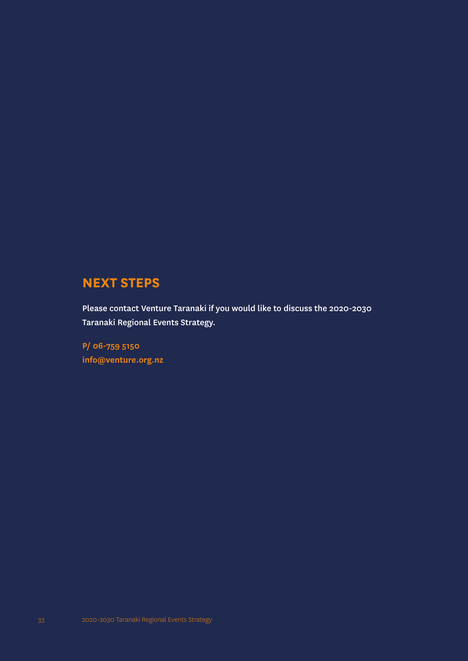### **NEXT STEPS**

Please contact Venture Taranaki if you would like to discuss the 2020-2030 Taranaki Regional Events Strategy.

**P/ 06-759 5150 info@venture.org.nz**